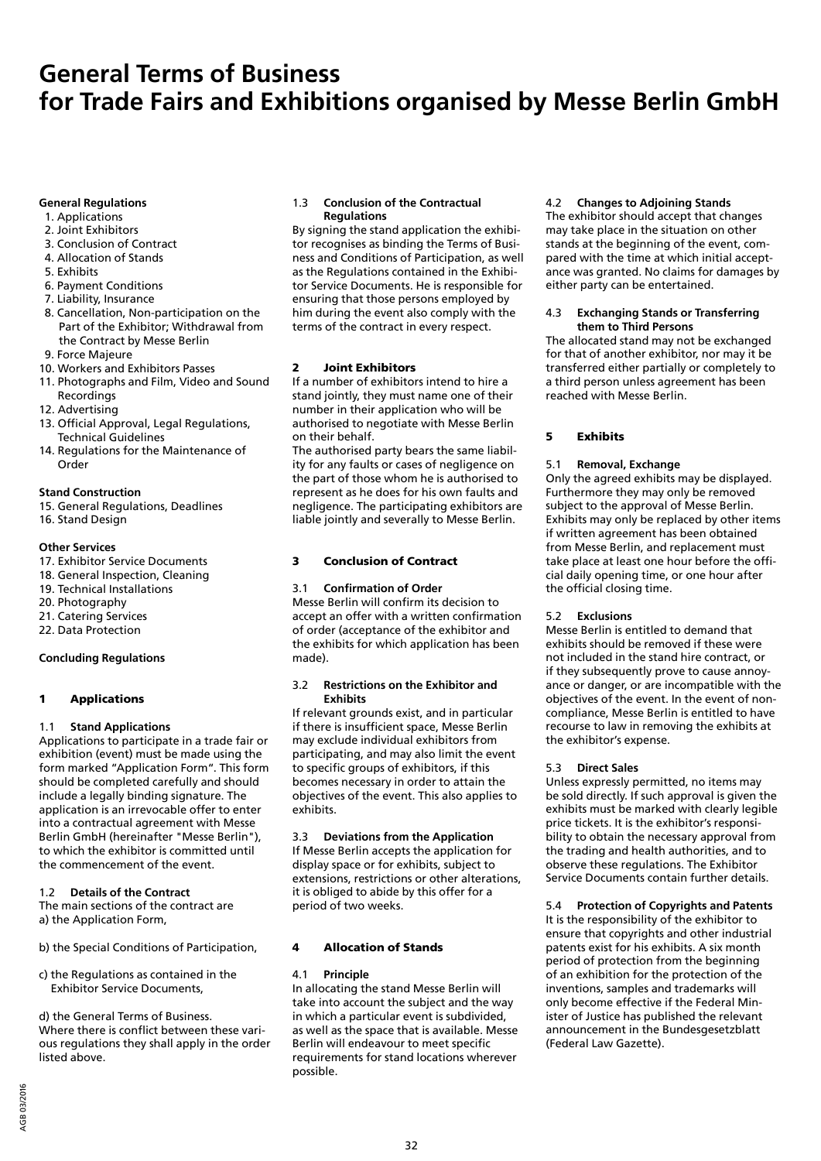# **General Terms of Business for Trade Fairs and Exhibitions organised by Messe Berlin GmbH**

# **General Regulations**

- 1. Applications
- 2. Joint Exhibitors
- 3. Conclusion of Contract 4. Allocation of Stands
- 5. Exhibits
- 6. Payment Conditions
- 7. Liability, Insurance
- 8. Cancellation, Non-participation on the Part of the Exhibitor; Withdrawal from
- the Contract by Messe Berlin 9. Force Majeure
- 10. Workers and Exhibitors Passes
- 11. Photographs and Film, Video and Sound
- Recordings
- 12. Advertising
- 13. Official Approval, Legal Regulations, Technical Guidelines
- 14. Regulations for the Maintenance of Order

#### **Stand Construction**

- 15. General Regulations, Deadlines
- 16. Stand Design

#### **Other Services**

- 17. Exhibitor Service Documents
- 18. General Inspection, Cleaning
- 19. Technical Installations
- 20. Photography
- 21. Catering Services
- 22. Data Protection

# **Concluding Regulations**

# 1 Applications

# 1.1 **Stand Applications**

Applications to participate in a trade fair or exhibition (event) must be made using the form marked "Application Form". This form should be completed carefully and should include a legally binding signature. The application is an irrevocable offer to enter into a contractual agreement with Messe Berlin GmbH (hereinafter "Messe Berlin"), to which the exhibitor is committed until the commencement of the event.

# 1.2 **Details of the Contract**

The main sections of the contract are a) the Application Form,

- b) the Special Conditions of Participation,
- c) the Regulations as contained in the Exhibitor Service Documents,

d) the General Terms of Business. Where there is conflict between these various regulations they shall apply in the order listed above.

# 1.3 **Conclusion of the Contractual Regulations**

By signing the stand application the exhibitor recognises as binding the Terms of Business and Conditions of Participation, as well as the Regulations contained in the Exhibitor Service Documents. He is responsible for ensuring that those persons employed by him during the event also comply with the terms of the contract in every respect.

# 2 Joint Exhibitors

If a number of exhibitors intend to hire a stand jointly, they must name one of their number in their application who will be authorised to negotiate with Messe Berlin on their behalf.

The authorised party bears the same liability for any faults or cases of negligence on the part of those whom he is authorised to represent as he does for his own faults and negligence. The participating exhibitors are liable jointly and severally to Messe Berlin.

# 3 Conclusion of Contract

# 3.1 **Confirmation of Order**

Messe Berlin will confirm its decision to accept an offer with a written confirmation of order (acceptance of the exhibitor and the exhibits for which application has been made).

#### 3.2 **Restrictions on the Exhibitor and Exhibits**

If relevant grounds exist, and in particular if there is insufficient space, Messe Berlin may exclude individual exhibitors from participating, and may also limit the event to specific groups of exhibitors, if this becomes necessary in order to attain the objectives of the event. This also applies to exhibits.

#### 3.3 **Deviations from the Application**

If Messe Berlin accepts the application for display space or for exhibits, subject to extensions, restrictions or other alterations, it is obliged to abide by this offer for a period of two weeks.

# 4 Allocation of Stands

# 4.1 **Principle**

In allocating the stand Messe Berlin will take into account the subject and the way in which a particular event is subdivided, as well as the space that is available. Messe Berlin will endeavour to meet specific requirements for stand locations wherever possible.

# 4.2 **Changes to Adjoining Stands**

The exhibitor should accept that changes may take place in the situation on other stands at the beginning of the event, compared with the time at which initial acceptance was granted. No claims for damages by either party can be entertained.

#### 4.3 **Exchanging Stands or Transferring them to Third Persons**

The allocated stand may not be exchanged for that of another exhibitor, nor may it be transferred either partially or completely to a third person unless agreement has been reached with Messe Berlin.

# 5 Exhibits

# 5.1 **Removal, Exchange**

Only the agreed exhibits may be displayed. Furthermore they may only be removed subject to the approval of Messe Berlin. Exhibits may only be replaced by other items if written agreement has been obtained from Messe Berlin, and replacement must take place at least one hour before the official daily opening time, or one hour after the official closing time.

# 5.2 **Exclusions**

Messe Berlin is entitled to demand that exhibits should be removed if these were not included in the stand hire contract, or if they subsequently prove to cause annoyance or danger, or are incompatible with the objectives of the event. In the event of noncompliance, Messe Berlin is entitled to have recourse to law in removing the exhibits at the exhibitor's expense.

# 5.3 **Direct Sales**

Unless expressly permitted, no items may be sold directly. If such approval is given the exhibits must be marked with clearly legible price tickets. It is the exhibitor's responsibility to obtain the necessary approval from the trading and health authorities, and to observe these regulations. The Exhibitor Service Documents contain further details.

# 5.4 **Protection of Copyrights and Patents**

It is the responsibility of the exhibitor to ensure that copyrights and other industrial patents exist for his exhibits. A six month period of protection from the beginning of an exhibition for the protection of the inventions, samples and trademarks will only become effective if the Federal Minister of Justice has published the relevant announcement in the Bundesgesetzblatt (Federal Law Gazette).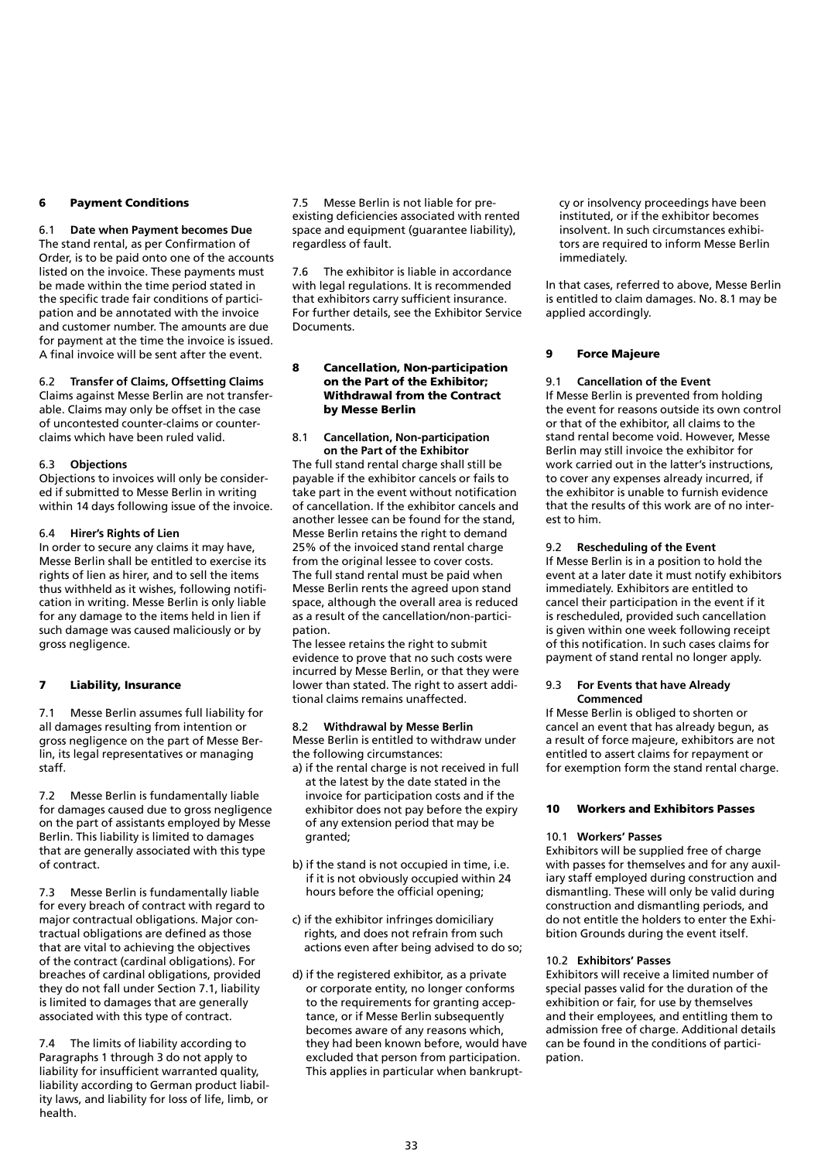# 6 Payment Conditions

6.1 **Date when Payment becomes Due** The stand rental, as per Confirmation of Order, is to be paid onto one of the accounts listed on the invoice. These payments must be made within the time period stated in the specific trade fair conditions of participation and be annotated with the invoice and customer number. The amounts are due for payment at the time the invoice is issued. A final invoice will be sent after the event.

#### 6.2 **Transfer of Claims, Offsetting Claims**

Claims against Messe Berlin are not transferable. Claims may only be offset in the case of uncontested counter-claims or counterclaims which have been ruled valid.

#### 6.3 **Objections**

Objections to invoices will only be considered if submitted to Messe Berlin in writing within 14 days following issue of the invoice.

### 6.4 **Hirer's Rights of Lien**

In order to secure any claims it may have, Messe Berlin shall be entitled to exercise its rights of lien as hirer, and to sell the items thus withheld as it wishes, following notification in writing. Messe Berlin is only liable for any damage to the items held in lien if such damage was caused maliciously or by gross negligence.

# 7 Liability, Insurance

7.1 Messe Berlin assumes full liability for all damages resulting from intention or gross negligence on the part of Messe Berlin, its legal representatives or managing staff.

7.2 Messe Berlin is fundamentally liable for damages caused due to gross negligence on the part of assistants employed by Messe Berlin. This liability is limited to damages that are generally associated with this type of contract.

7.3 Messe Berlin is fundamentally liable for every breach of contract with regard to major contractual obligations. Major contractual obligations are defined as those that are vital to achieving the objectives of the contract (cardinal obligations). For breaches of cardinal obligations, provided they do not fall under Section 7.1, liability is limited to damages that are generally associated with this type of contract.

7.4 The limits of liability according to Paragraphs 1 through 3 do not apply to liability for insufficient warranted quality, liability according to German product liability laws, and liability for loss of life, limb, or health.

7.5 Messe Berlin is not liable for preexisting deficiencies associated with rented space and equipment (guarantee liability), regardless of fault.

7.6 The exhibitor is liable in accordance with legal regulations. It is recommended that exhibitors carry sufficient insurance. For further details, see the Exhibitor Service **Documents** 

#### 8 Cancellation, Non-participation on the Part of the Exhibitor; Withdrawal from the Contract by Messe Berlin

#### 8.1 **Cancellation, Non-participation on the Part of the Exhibitor**

The full stand rental charge shall still be payable if the exhibitor cancels or fails to take part in the event without notification of cancellation. If the exhibitor cancels and another lessee can be found for the stand, Messe Berlin retains the right to demand 25% of the invoiced stand rental charge from the original lessee to cover costs. The full stand rental must be paid when Messe Berlin rents the agreed upon stand space, although the overall area is reduced as a result of the cancellation/non-participation.

The lessee retains the right to submit evidence to prove that no such costs were incurred by Messe Berlin, or that they were lower than stated. The right to assert additional claims remains unaffected.

#### 8.2 **Withdrawal by Messe Berlin** Messe Berlin is entitled to withdraw under

the following circumstances:

- a) if the rental charge is not received in full at the latest by the date stated in the invoice for participation costs and if the exhibitor does not pay before the expiry of any extension period that may be granted;
- b) if the stand is not occupied in time, i.e. if it is not obviously occupied within 24 hours before the official opening;
- c) if the exhibitor infringes domiciliary rights, and does not refrain from such actions even after being advised to do so;
- d) if the registered exhibitor, as a private or corporate entity, no longer conforms to the requirements for granting acceptance, or if Messe Berlin subsequently becomes aware of any reasons which, they had been known before, would have excluded that person from participation. This applies in particular when bankrupt-

cy or insolvency proceedings have been instituted, or if the exhibitor becomes insolvent. In such circumstances exhibitors are required to inform Messe Berlin immediately.

In that cases, referred to above, Messe Berlin is entitled to claim damages. No. 8.1 may be applied accordingly.

### 9 Force Majeure

# 9.1 **Cancellation of the Event**

If Messe Berlin is prevented from holding the event for reasons outside its own control or that of the exhibitor, all claims to the stand rental become void. However, Messe Berlin may still invoice the exhibitor for work carried out in the latter's instructions, to cover any expenses already incurred, if the exhibitor is unable to furnish evidence that the results of this work are of no interest to him.

# 9.2 **Rescheduling of the Event**

If Messe Berlin is in a position to hold the event at a later date it must notify exhibitors immediately. Exhibitors are entitled to cancel their participation in the event if it is rescheduled, provided such cancellation is given within one week following receipt of this notification. In such cases claims for payment of stand rental no longer apply.

#### 9.3 **For Events that have Already Commenced**

If Messe Berlin is obliged to shorten or cancel an event that has already begun, as a result of force majeure, exhibitors are not entitled to assert claims for repayment or for exemption form the stand rental charge.

# 10 Workers and Exhibitors Passes

# 10.1 **Workers' Passes**

Exhibitors will be supplied free of charge with passes for themselves and for any auxiliary staff employed during construction and dismantling. These will only be valid during construction and dismantling periods, and do not entitle the holders to enter the Exhibition Grounds during the event itself.

#### 10.2 **Exhibitors' Passes**

Exhibitors will receive a limited number of special passes valid for the duration of the exhibition or fair, for use by themselves and their employees, and entitling them to admission free of charge. Additional details can be found in the conditions of participation.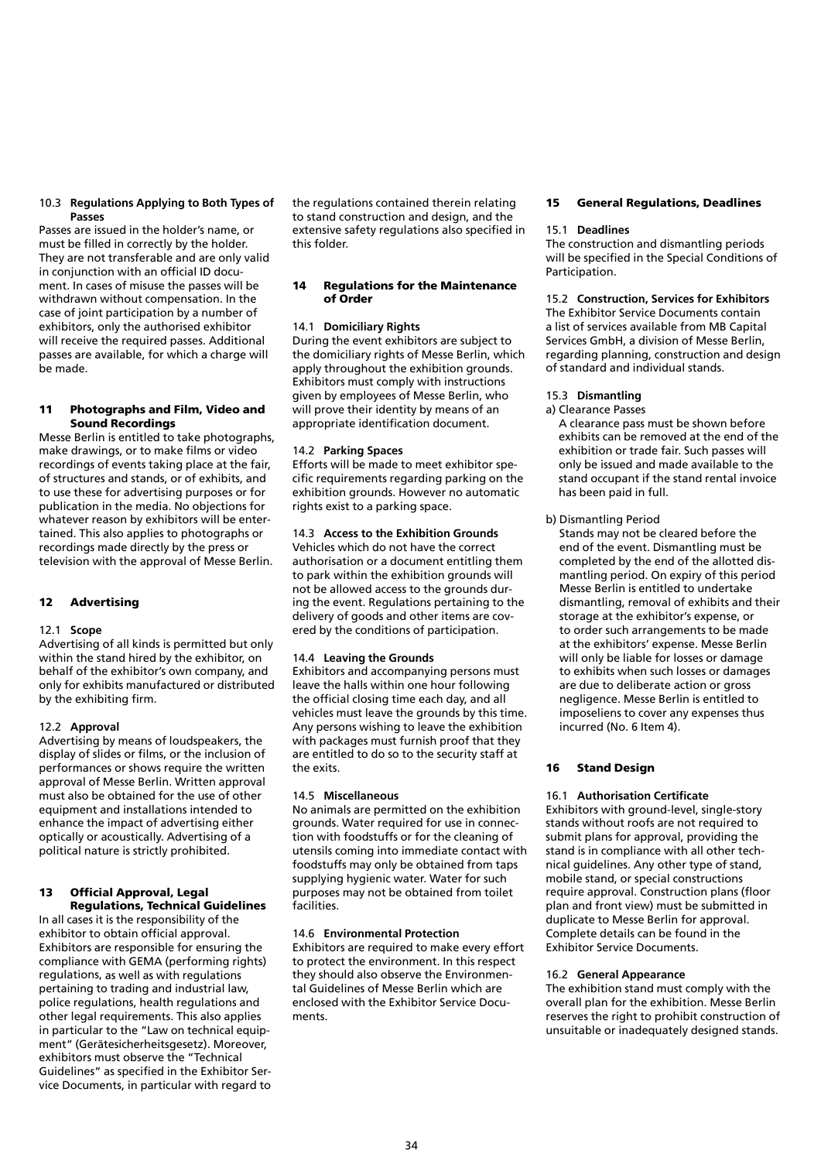### 10.3 **Regulations Applying to Both Types of Passes**

Passes are issued in the holder's name, or must be filled in correctly by the holder. They are not transferable and are only valid in conjunction with an official ID document. In cases of misuse the passes will be withdrawn without compensation. In the case of joint participation by a number of exhibitors, only the authorised exhibitor will receive the required passes. Additional passes are available, for which a charge will be made.

#### 11 Photographs and Film, Video and Sound Recordings

Messe Berlin is entitled to take photographs, make drawings, or to make films or video recordings of events taking place at the fair, of structures and stands, or of exhibits, and to use these for advertising purposes or for publication in the media. No objections for whatever reason by exhibitors will be entertained. This also applies to photographs or recordings made directly by the press or television with the approval of Messe Berlin.

# 12 Advertising

# 12.1 **Scope**

Advertising of all kinds is permitted but only within the stand hired by the exhibitor, on behalf of the exhibitor's own company, and only for exhibits manufactured or distributed by the exhibiting firm.

# 12.2 **Approval**

Advertising by means of loudspeakers, the display of slides or films, or the inclusion of performances or shows require the written approval of Messe Berlin. Written approval must also be obtained for the use of other equipment and installations intended to enhance the impact of advertising either optically or acoustically. Advertising of a political nature is strictly prohibited.

#### 13 Official Approval, Legal Regulations, Technical Guidelines

In all cases it is the responsibility of the exhibitor to obtain official approval. Exhibitors are responsible for ensuring the compliance with GEMA (performing rights) regulations, as well as with regulations pertaining to trading and industrial law, police regulations, health regulations and other legal requirements. This also applies in particular to the "Law on technical equipment" (Gerätesicherheitsgesetz). Moreover, exhibitors must observe the "Technical Guidelines" as specified in the Exhibitor Service Documents, in particular with regard to the regulations contained therein relating to stand construction and design, and the extensive safety regulations also specified in this folder.

# 14 Regulations for the Maintenance of Order

## 14.1 **Domiciliary Rights**

During the event exhibitors are subject to the domiciliary rights of Messe Berlin, which apply throughout the exhibition grounds. Exhibitors must comply with instructions given by employees of Messe Berlin, who will prove their identity by means of an appropriate identification document.

#### 14.2 **Parking Spaces**

Efforts will be made to meet exhibitor specific requirements regarding parking on the exhibition grounds. However no automatic rights exist to a parking space.

# 14.3 **Access to the Exhibition Grounds**

Vehicles which do not have the correct authorisation or a document entitling them to park within the exhibition grounds will not be allowed access to the grounds during the event. Regulations pertaining to the delivery of goods and other items are covered by the conditions of participation.

# 14.4 **Leaving the Grounds**

Exhibitors and accompanying persons must leave the halls within one hour following the official closing time each day, and all vehicles must leave the grounds by this time. Any persons wishing to leave the exhibition with packages must furnish proof that they are entitled to do so to the security staff at the exits.

#### 14.5 **Miscellaneous**

No animals are permitted on the exhibition grounds. Water required for use in connection with foodstuffs or for the cleaning of utensils coming into immediate contact with foodstuffs may only be obtained from taps supplying hygienic water. Water for such purposes may not be obtained from toilet facilities.

#### 14.6 **Environmental Protection**

Exhibitors are required to make every effort to protect the environment. In this respect they should also observe the Environmental Guidelines of Messe Berlin which are enclosed with the Exhibitor Service Documents.

#### 15 General Regulations, Deadlines

#### 15.1 **Deadlines**

The construction and dismantling periods will be specified in the Special Conditions of Participation.

## 15.2 **Construction, Services for Exhibitors**

The Exhibitor Service Documents contain a list of services available from MB Capital Services GmbH, a division of Messe Berlin, regarding planning, construction and design of standard and individual stands.

# 15.3 **Dismantling**

a) Clearance Passes A clearance pass must be shown before exhibits can be removed at the end of the exhibition or trade fair. Such passes will only be issued and made available to the stand occupant if the stand rental invoice

# b) Dismantling Period

has been paid in full.

Stands may not be cleared before the end of the event. Dismantling must be completed by the end of the allotted dismantling period. On expiry of this period Messe Berlin is entitled to undertake dismantling, removal of exhibits and their storage at the exhibitor's expense, or to order such arrangements to be made at the exhibitors' expense. Messe Berlin will only be liable for losses or damage to exhibits when such losses or damages are due to deliberate action or gross negligence. Messe Berlin is entitled to imposeliens to cover any expenses thus incurred (No. 6 Item 4).

# 16 Stand Design

# 16.1 **Authorisation Certificate**

Exhibitors with ground-level, single-story stands without roofs are not required to submit plans for approval, providing the stand is in compliance with all other technical guidelines. Any other type of stand, mobile stand, or special constructions require approval. Construction plans (floor plan and front view) must be submitted in duplicate to Messe Berlin for approval. Complete details can be found in the Exhibitor Service Documents.

#### 16.2 **General Appearance**

The exhibition stand must comply with the overall plan for the exhibition. Messe Berlin reserves the right to prohibit construction of unsuitable or inadequately designed stands.